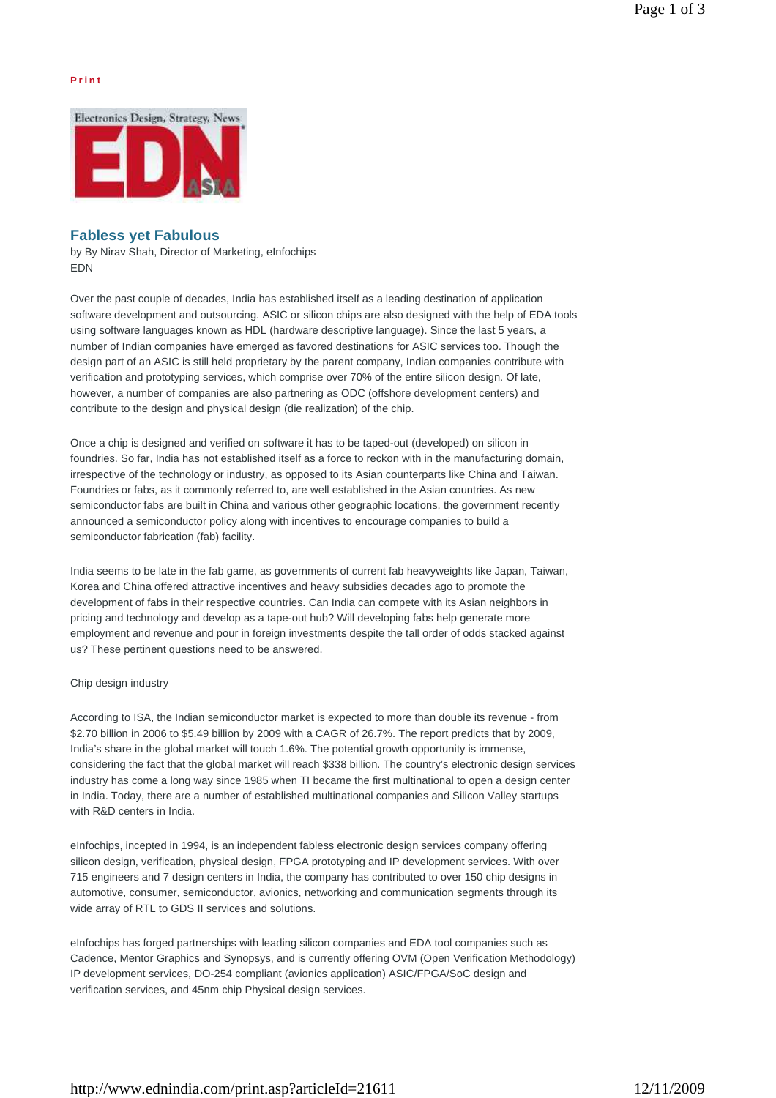## **P r i n t**



# **Fabless yet Fabulous**

by By Nirav Shah, Director of Marketing, eInfochips EDN

Over the past couple of decades, India has established itself as a leading destination of application software development and outsourcing. ASIC or silicon chips are also designed with the help of EDA tools using software languages known as HDL (hardware descriptive language). Since the last 5 years, a number of Indian companies have emerged as favored destinations for ASIC services too. Though the design part of an ASIC is still held proprietary by the parent company, Indian companies contribute with verification and prototyping services, which comprise over 70% of the entire silicon design. Of late, however, a number of companies are also partnering as ODC (offshore development centers) and contribute to the design and physical design (die realization) of the chip.

Once a chip is designed and verified on software it has to be taped-out (developed) on silicon in foundries. So far, India has not established itself as a force to reckon with in the manufacturing domain, irrespective of the technology or industry, as opposed to its Asian counterparts like China and Taiwan. Foundries or fabs, as it commonly referred to, are well established in the Asian countries. As new semiconductor fabs are built in China and various other geographic locations, the government recently announced a semiconductor policy along with incentives to encourage companies to build a semiconductor fabrication (fab) facility.

India seems to be late in the fab game, as governments of current fab heavyweights like Japan, Taiwan, Korea and China offered attractive incentives and heavy subsidies decades ago to promote the development of fabs in their respective countries. Can India can compete with its Asian neighbors in pricing and technology and develop as a tape-out hub? Will developing fabs help generate more employment and revenue and pour in foreign investments despite the tall order of odds stacked against us? These pertinent questions need to be answered.

### Chip design industry

According to ISA, the Indian semiconductor market is expected to more than double its revenue - from \$2.70 billion in 2006 to \$5.49 billion by 2009 with a CAGR of 26.7%. The report predicts that by 2009, India's share in the global market will touch 1.6%. The potential growth opportunity is immense, considering the fact that the global market will reach \$338 billion. The country's electronic design services industry has come a long way since 1985 when TI became the first multinational to open a design center in India. Today, there are a number of established multinational companies and Silicon Valley startups with R&D centers in India.

eInfochips, incepted in 1994, is an independent fabless electronic design services company offering silicon design, verification, physical design, FPGA prototyping and IP development services. With over 715 engineers and 7 design centers in India, the company has contributed to over 150 chip designs in automotive, consumer, semiconductor, avionics, networking and communication segments through its wide array of RTL to GDS II services and solutions.

eInfochips has forged partnerships with leading silicon companies and EDA tool companies such as Cadence, Mentor Graphics and Synopsys, and is currently offering OVM (Open Verification Methodology) IP development services, DO-254 compliant (avionics application) ASIC/FPGA/SoC design and verification services, and 45nm chip Physical design services.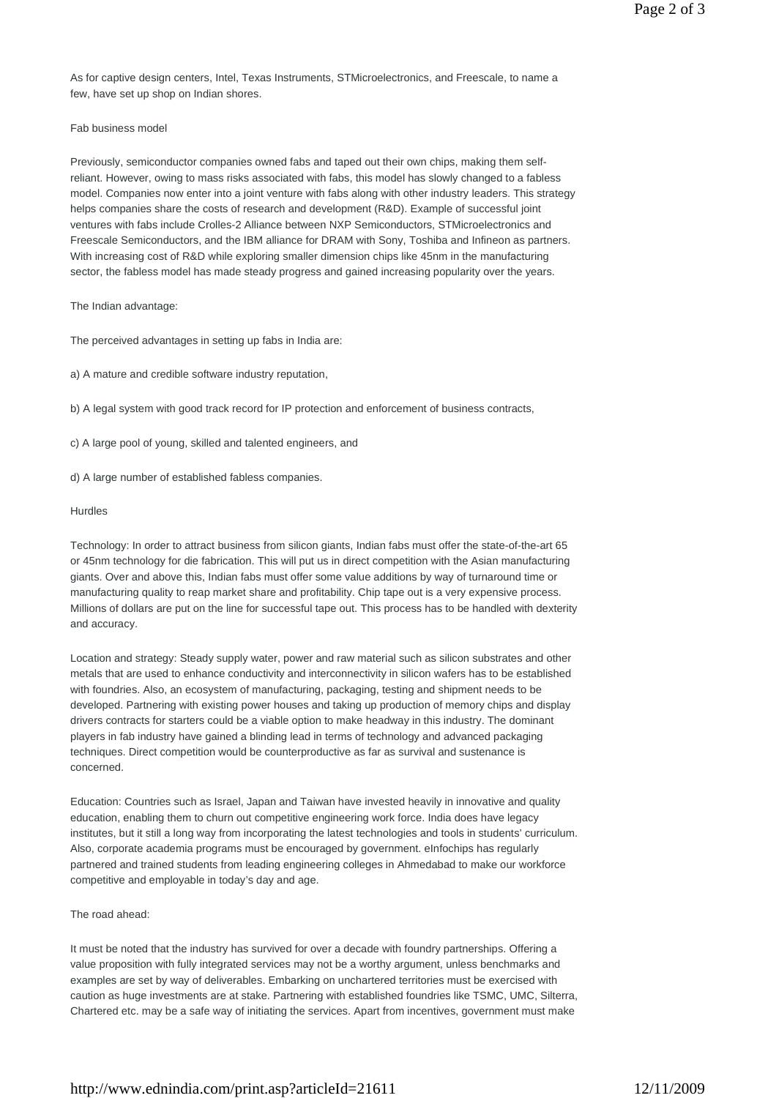As for captive design centers, Intel, Texas Instruments, STMicroelectronics, and Freescale, to name a few, have set up shop on Indian shores.

# Fab business model

Previously, semiconductor companies owned fabs and taped out their own chips, making them selfreliant. However, owing to mass risks associated with fabs, this model has slowly changed to a fabless model. Companies now enter into a joint venture with fabs along with other industry leaders. This strategy helps companies share the costs of research and development (R&D). Example of successful joint ventures with fabs include Crolles-2 Alliance between NXP Semiconductors, STMicroelectronics and Freescale Semiconductors, and the IBM alliance for DRAM with Sony, Toshiba and Infineon as partners. With increasing cost of R&D while exploring smaller dimension chips like 45nm in the manufacturing sector, the fabless model has made steady progress and gained increasing popularity over the years.

The Indian advantage:

The perceived advantages in setting up fabs in India are:

a) A mature and credible software industry reputation,

b) A legal system with good track record for IP protection and enforcement of business contracts,

c) A large pool of young, skilled and talented engineers, and

d) A large number of established fabless companies.

### Hurdles

Technology: In order to attract business from silicon giants, Indian fabs must offer the state-of-the-art 65 or 45nm technology for die fabrication. This will put us in direct competition with the Asian manufacturing giants. Over and above this, Indian fabs must offer some value additions by way of turnaround time or manufacturing quality to reap market share and profitability. Chip tape out is a very expensive process. Millions of dollars are put on the line for successful tape out. This process has to be handled with dexterity and accuracy.

Location and strategy: Steady supply water, power and raw material such as silicon substrates and other metals that are used to enhance conductivity and interconnectivity in silicon wafers has to be established with foundries. Also, an ecosystem of manufacturing, packaging, testing and shipment needs to be developed. Partnering with existing power houses and taking up production of memory chips and display drivers contracts for starters could be a viable option to make headway in this industry. The dominant players in fab industry have gained a blinding lead in terms of technology and advanced packaging techniques. Direct competition would be counterproductive as far as survival and sustenance is concerned.

Education: Countries such as Israel, Japan and Taiwan have invested heavily in innovative and quality education, enabling them to churn out competitive engineering work force. India does have legacy institutes, but it still a long way from incorporating the latest technologies and tools in students' curriculum. Also, corporate academia programs must be encouraged by government. eInfochips has regularly partnered and trained students from leading engineering colleges in Ahmedabad to make our workforce competitive and employable in today's day and age.

### The road ahead:

It must be noted that the industry has survived for over a decade with foundry partnerships. Offering a value proposition with fully integrated services may not be a worthy argument, unless benchmarks and examples are set by way of deliverables. Embarking on unchartered territories must be exercised with caution as huge investments are at stake. Partnering with established foundries like TSMC, UMC, Silterra, Chartered etc. may be a safe way of initiating the services. Apart from incentives, government must make